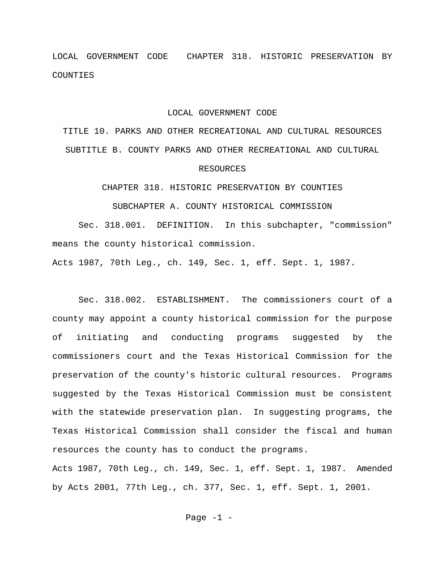LOCAL GOVERNMENT CODE CHAPTER 318. HISTORIC PRESERVATION BY COUNTIES

## LOCAL GOVERNMENT CODE

TITLE 10. PARKS AND OTHER RECREATIONAL AND CULTURAL RESOURCES SUBTITLE B. COUNTY PARKS AND OTHER RECREATIONAL AND CULTURAL RESOURCES

CHAPTER 318. HISTORIC PRESERVATION BY COUNTIES

SUBCHAPTER A. COUNTY HISTORICAL COMMISSION

Sec. 318.001. DEFINITION. In this subchapter, "commission" means the county historical commission.

Acts 1987, 70th Leg., ch. 149, Sec. 1, eff. Sept. 1, 1987.

Sec. 318.002. ESTABLISHMENT. The commissioners court of a county may appoint a county historical commission for the purpose of initiating and conducting programs suggested by the commissioners court and the Texas Historical Commission for the preservation of the county's historic cultural resources. Programs suggested by the Texas Historical Commission must be consistent with the statewide preservation plan. In suggesting programs, the Texas Historical Commission shall consider the fiscal and human resources the county has to conduct the programs. Acts 1987, 70th Leg., ch. 149, Sec. 1, eff. Sept. 1, 1987. Amended

by Acts 2001, 77th Leg., ch. 377, Sec. 1, eff. Sept. 1, 2001.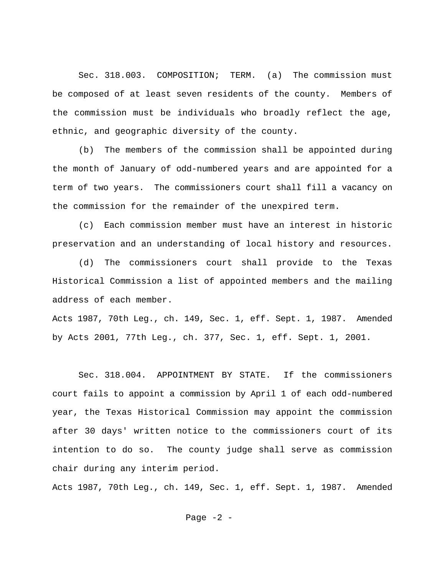Sec. 318.003. COMPOSITION; TERM. (a) The commission must be composed of at least seven residents of the county. Members of the commission must be individuals who broadly reflect the age, ethnic, and geographic diversity of the county.

(b) The members of the commission shall be appointed during the month of January of odd-numbered years and are appointed for a term of two years. The commissioners court shall fill a vacancy on the commission for the remainder of the unexpired term.

(c) Each commission member must have an interest in historic preservation and an understanding of local history and resources.

(d) The commissioners court shall provide to the Texas Historical Commission a list of appointed members and the mailing address of each member.

Acts 1987, 70th Leg., ch. 149, Sec. 1, eff. Sept. 1, 1987. Amended by Acts 2001, 77th Leg., ch. 377, Sec. 1, eff. Sept. 1, 2001.

Sec. 318.004. APPOINTMENT BY STATE. If the commissioners court fails to appoint a commission by April 1 of each odd-numbered year, the Texas Historical Commission may appoint the commission after 30 days' written notice to the commissioners court of its intention to do so. The county judge shall serve as commission chair during any interim period.

Acts 1987, 70th Leg., ch. 149, Sec. 1, eff. Sept. 1, 1987. Amended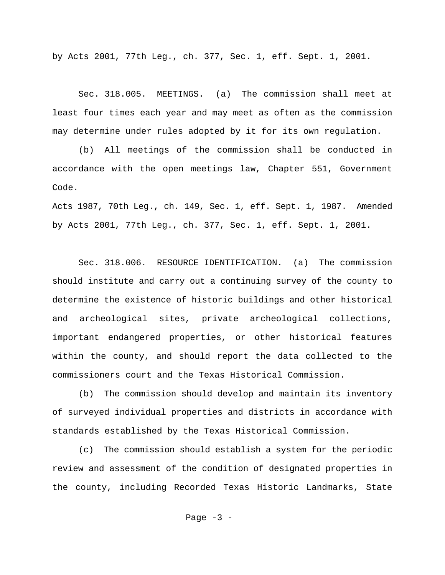by Acts 2001, 77th Leg., ch. 377, Sec. 1, eff. Sept. 1, 2001.

Sec. 318.005. MEETINGS. (a) The commission shall meet at least four times each year and may meet as often as the commission may determine under rules adopted by it for its own regulation.

(b) All meetings of the commission shall be conducted in accordance with the open meetings law, Chapter 551, Government Code.

Acts 1987, 70th Leg., ch. 149, Sec. 1, eff. Sept. 1, 1987. Amended by Acts 2001, 77th Leg., ch. 377, Sec. 1, eff. Sept. 1, 2001.

Sec. 318.006. RESOURCE IDENTIFICATION. (a) The commission should institute and carry out a continuing survey of the county to determine the existence of historic buildings and other historical and archeological sites, private archeological collections, important endangered properties, or other historical features within the county, and should report the data collected to the commissioners court and the Texas Historical Commission.

(b) The commission should develop and maintain its inventory of surveyed individual properties and districts in accordance with standards established by the Texas Historical Commission.

(c) The commission should establish a system for the periodic review and assessment of the condition of designated properties in the county, including Recorded Texas Historic Landmarks, State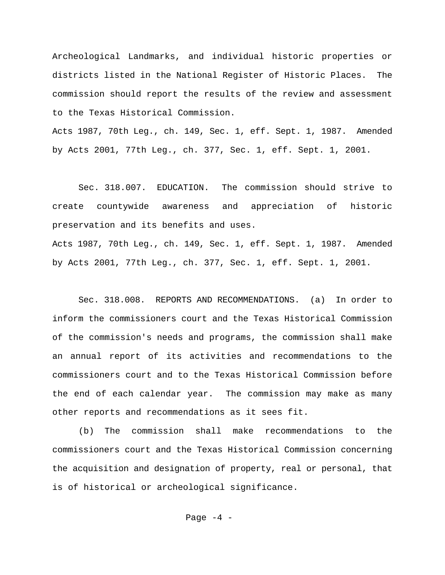Archeological Landmarks, and individual historic properties or districts listed in the National Register of Historic Places. The commission should report the results of the review and assessment to the Texas Historical Commission.

Acts 1987, 70th Leg., ch. 149, Sec. 1, eff. Sept. 1, 1987. Amended by Acts 2001, 77th Leg., ch. 377, Sec. 1, eff. Sept. 1, 2001.

Sec. 318.007. EDUCATION. The commission should strive to create countywide awareness and appreciation of historic preservation and its benefits and uses.

Acts 1987, 70th Leg., ch. 149, Sec. 1, eff. Sept. 1, 1987. Amended by Acts 2001, 77th Leg., ch. 377, Sec. 1, eff. Sept. 1, 2001.

Sec. 318.008. REPORTS AND RECOMMENDATIONS. (a) In order to inform the commissioners court and the Texas Historical Commission of the commission's needs and programs, the commission shall make an annual report of its activities and recommendations to the commissioners court and to the Texas Historical Commission before the end of each calendar year. The commission may make as many other reports and recommendations as it sees fit.

(b) The commission shall make recommendations to the commissioners court and the Texas Historical Commission concerning the acquisition and designation of property, real or personal, that is of historical or archeological significance.

Page  $-4$  -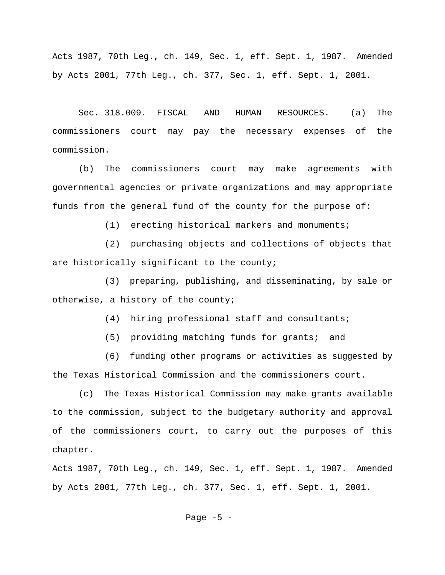Acts 1987, 70th Leg., ch. 149, Sec. 1, eff. Sept. 1, 1987. Amended by Acts 2001, 77th Leg., ch. 377, Sec. 1, eff. Sept. 1, 2001.

Sec. 318.009. FISCAL AND HUMAN RESOURCES. (a) The commissioners court may pay the necessary expenses of the commission.

(b) The commissioners court may make agreements with governmental agencies or private organizations and may appropriate funds from the general fund of the county for the purpose of:

(1) erecting historical markers and monuments;

(2) purchasing objects and collections of objects that are historically significant to the county;

(3) preparing, publishing, and disseminating, by sale or otherwise, a history of the county;

(4) hiring professional staff and consultants;

(5) providing matching funds for grants; and

(6) funding other programs or activities as suggested by the Texas Historical Commission and the commissioners court.

(c) The Texas Historical Commission may make grants available to the commission, subject to the budgetary authority and approval of the commissioners court, to carry out the purposes of this chapter.

Acts 1987, 70th Leg., ch. 149, Sec. 1, eff. Sept. 1, 1987. Amended by Acts 2001, 77th Leg., ch. 377, Sec. 1, eff. Sept. 1, 2001.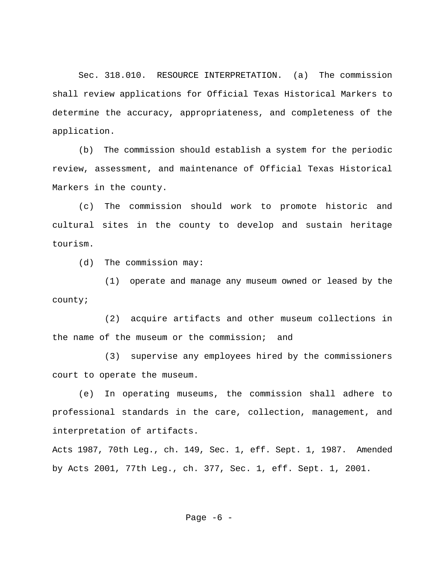Sec. 318.010. RESOURCE INTERPRETATION. (a) The commission shall review applications for Official Texas Historical Markers to determine the accuracy, appropriateness, and completeness of the application.

(b) The commission should establish a system for the periodic review, assessment, and maintenance of Official Texas Historical Markers in the county.

(c) The commission should work to promote historic and cultural sites in the county to develop and sustain heritage tourism.

(d) The commission may:

(1) operate and manage any museum owned or leased by the county;

(2) acquire artifacts and other museum collections in the name of the museum or the commission; and

(3) supervise any employees hired by the commissioners court to operate the museum.

(e) In operating museums, the commission shall adhere to professional standards in the care, collection, management, and interpretation of artifacts.

Acts 1987, 70th Leg., ch. 149, Sec. 1, eff. Sept. 1, 1987. Amended by Acts 2001, 77th Leg., ch. 377, Sec. 1, eff. Sept. 1, 2001.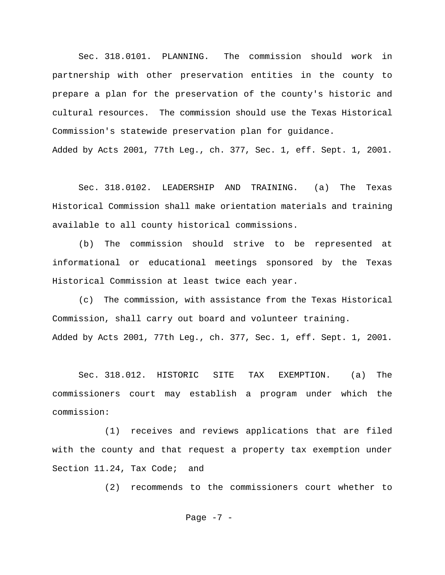Sec. 318.0101. PLANNING. The commission should work in partnership with other preservation entities in the county to prepare a plan for the preservation of the county's historic and cultural resources. The commission should use the Texas Historical Commission's statewide preservation plan for guidance.

Added by Acts 2001, 77th Leg., ch. 377, Sec. 1, eff. Sept. 1, 2001.

Sec. 318.0102. LEADERSHIP AND TRAINING. (a) The Texas Historical Commission shall make orientation materials and training available to all county historical commissions.

(b) The commission should strive to be represented at informational or educational meetings sponsored by the Texas Historical Commission at least twice each year.

(c) The commission, with assistance from the Texas Historical Commission, shall carry out board and volunteer training. Added by Acts 2001, 77th Leg., ch. 377, Sec. 1, eff. Sept. 1, 2001.

Sec. 318.012. HISTORIC SITE TAX EXEMPTION. (a) The commissioners court may establish a program under which the commission:

(1) receives and reviews applications that are filed with the county and that request a property tax exemption under Section 11.24, Tax Code; and

(2) recommends to the commissioners court whether to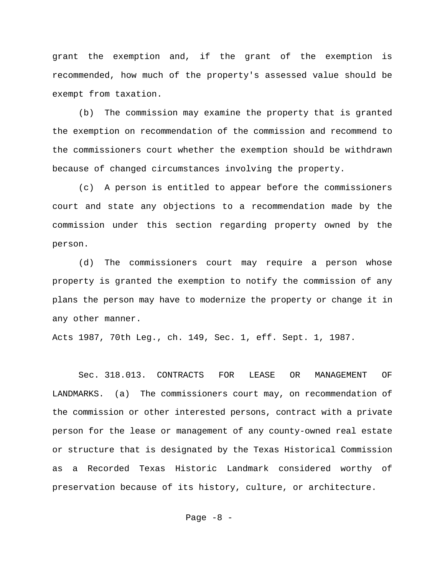grant the exemption and, if the grant of the exemption is recommended, how much of the property's assessed value should be exempt from taxation.

(b) The commission may examine the property that is granted the exemption on recommendation of the commission and recommend to the commissioners court whether the exemption should be withdrawn because of changed circumstances involving the property.

(c) A person is entitled to appear before the commissioners court and state any objections to a recommendation made by the commission under this section regarding property owned by the person.

(d) The commissioners court may require a person whose property is granted the exemption to notify the commission of any plans the person may have to modernize the property or change it in any other manner.

Acts 1987, 70th Leg., ch. 149, Sec. 1, eff. Sept. 1, 1987.

Sec. 318.013. CONTRACTS FOR LEASE OR MANAGEMENT OF LANDMARKS. (a) The commissioners court may, on recommendation of the commission or other interested persons, contract with a private person for the lease or management of any county-owned real estate or structure that is designated by the Texas Historical Commission as a Recorded Texas Historic Landmark considered worthy of preservation because of its history, culture, or architecture.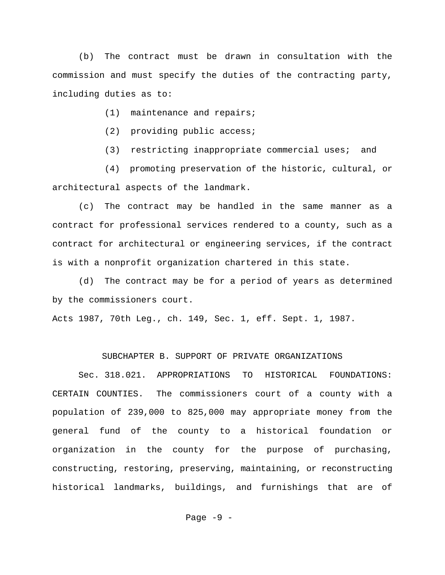(b) The contract must be drawn in consultation with the commission and must specify the duties of the contracting party, including duties as to:

(1) maintenance and repairs;

(2) providing public access;

(3) restricting inappropriate commercial uses; and

(4) promoting preservation of the historic, cultural, or architectural aspects of the landmark.

(c) The contract may be handled in the same manner as a contract for professional services rendered to a county, such as a contract for architectural or engineering services, if the contract is with a nonprofit organization chartered in this state.

(d) The contract may be for a period of years as determined by the commissioners court.

Acts 1987, 70th Leg., ch. 149, Sec. 1, eff. Sept. 1, 1987.

## SUBCHAPTER B. SUPPORT OF PRIVATE ORGANIZATIONS

Sec. 318.021. APPROPRIATIONS TO HISTORICAL FOUNDATIONS: CERTAIN COUNTIES. The commissioners court of a county with a population of 239,000 to 825,000 may appropriate money from the general fund of the county to a historical foundation or organization in the county for the purpose of purchasing, constructing, restoring, preserving, maintaining, or reconstructing historical landmarks, buildings, and furnishings that are of